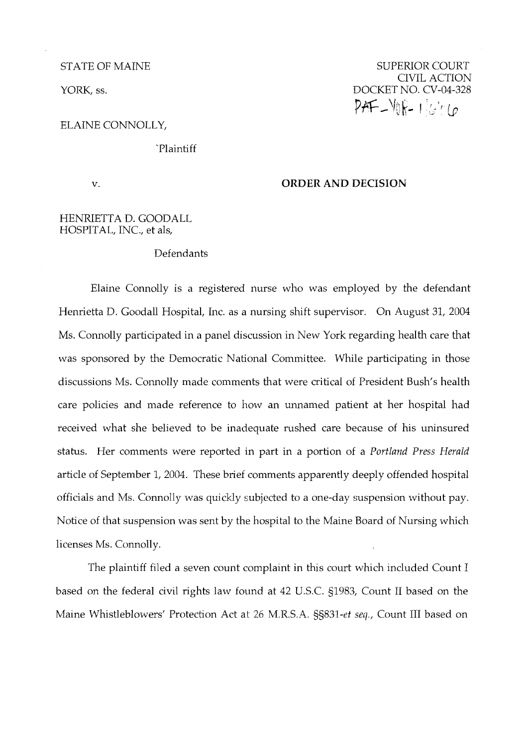STATE OF MAINE

YORK, ss.

ELAINE CONNOLLY,

'Plaintiff

V.

### **ORDER AND DECISION**

## HENRIETTA D. GOODALL HOSPITAL, INC., et als,

### Defendants

Elaine Connolly is a registered nurse who was employed by the defendant Henrietta D. Goodall Hospital, Inc. as a nursing shift supervisor. On August 31, 2004 Ms. Connolly participated in a panel discussion in New York regarding health care that was sponsored by the Democratic National Committee. While participating in those discussions Ms. Connolly made comments that were critical of President Bush's health care policies and made reference to how an unnamed patient at her hospital had received what she believed to be inadequate rushed care because of his uninsured status. Her comments were reported in part in a portion of a Portland Press Herald article of September 1, 2004. These brief comments apparently deeply offended hospital officials and Ms. Connolly was quickly subjected to a one-day suspension without pay. Notice of that suspension was sent by the hospital to the Maine Board of Nursing which licenses Ms. Connolly.

The plaintiff filed a seven count complaint in this court which included Count I based on the federal civil rights law found at 42 U.S.C. g1983, Count I1 based on the Maine Whistleblowers' Protection Act at 26 M.R.S.A. SS831-et seq., Count III based on

SUPERIOR COURT CIVIL ACTION DOCKET NO. CV-04-328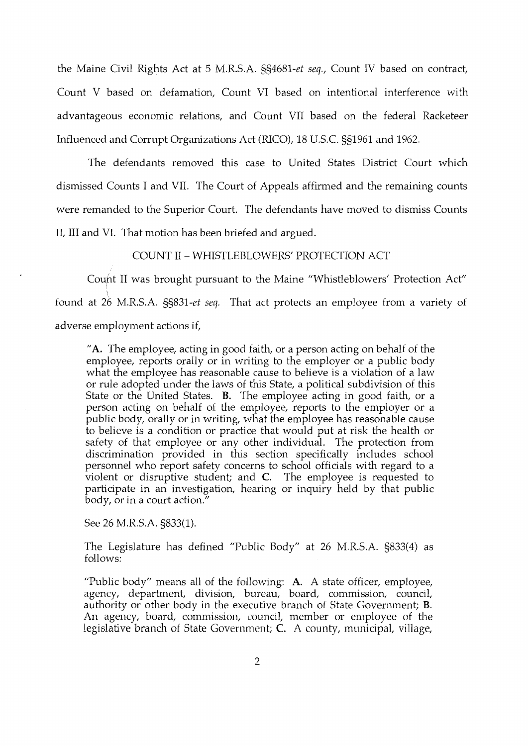the Maine Civil kghts Act at 5 M.R.S.A. §§4681-et seq., Count IV based on contract, Count V based on defamation, Count VI based on intentional interference with advantageous economic relations, and Count VII based on the federal Racketeer Influenced and Corrupt Organizations Act (RICO), 18 U.S.C. §§I961 and 1962.

The defendants removed this case to United States District Court which dismissed Counts I and VII. The Court of Appeals affirmed and the remaining counts were remanded to the Superior Court. The defendants have moved to dismiss Counts II, III and VI. That motion has been briefed and argued.

COUNT I1 - WHISTLEBLOWERS' PROTECTION ACT

Count II was brought pursuant to the Maine "Whistleblowers' Protection Act" found at 26 M.R.S.A. §§831-et seq. That act protects an employee from a variety of adverse employment actions if,

"A. The employee, acting in good faith, or a person acting on behalf of the employee, reports orally or in writing to the employer or a public body what the employee has reasonable cause to believe is a violation of a law or rule adopted under the laws of this State, a political subdivision of this State or the United States. B. The employee acting in good faith, or a person acting on behalf of the employee, reports to the employer or a public body, orally or in writing, what the employee has reasonable cause to believe is a condition or practice that would put at risk the health or safety of that employee or any other individual. The protection from discrimination provided in this section specifically includes school personnel who report safety concerns to school officials with regard to a violent or disruptive student; and **C.** The employee is requested to participate in an investigation, hearing or inquiry held by that public body, or in a court action."

See 26 M.R.S.A. §833(1).

The Legislature has defined "Public Body" at 26 M.R.S.A. §833(4) as follows:

"Public body" means all of the following: A. A state officer, employee, agency, department, division, bureau, board, commission, council, authority or other body in the executive branch of State Government; B. An agency, board, commission, council, member or employee of the legislative branch of State Government; C. A county, municipal, village,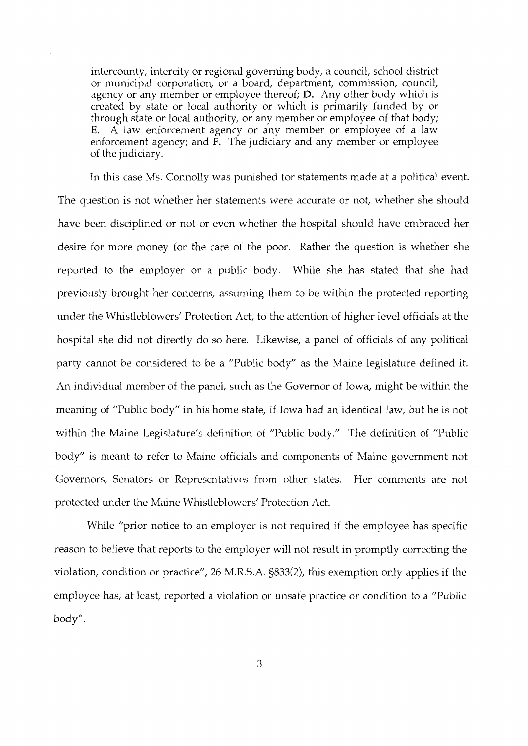intercounty, intercity or regional governing body, a council, school district or municipal corporation, or a board, department, commission, council, agency or any member or employee thereof; D. Any other body which is created by state or local authority or which is primarily funded by or through state or local authority, or any member or employee of that body; E. A law enforcement agency or any member or employee of a law enforcement agency; and  $\vec{F}$ . The judiciary and any member or employee of the judiciary.

In this case Ms. Connolly was punished for statements made at a political event. The question is not whether her statements were accurate or not, whether she should have been disciplined or not or even whether the hospital should have embraced her desire for more money for the care of the poor. Rather the question is whether she reported to the employer or a public body. While she has stated that she had previously brought her concerns, assuming them to be within the protected reporting under the Whistleblowers' Protection Act, to the attention of higher level officials at the hospital she did not directly do so here. Likewise, a panel of officials of any political party cannot be considered to be a "Public body" as the Maine legislature defined it. An individual member of the panel, such as the Governor of Iowa, might be within the meaning of "Public body" in his home state, if Iowa had an identical law, but he is not within the Maine Legislature's definition of "Public body." The definition of "Public body" is meant to refer to Maine officials and components of Maine government not Governors, Senators or Representatives from other states. Her comments are not protected under the Maine Whistleblowers' Protection Act.

While "prior notice to an employer is not required if the employee has specific reason to believe that reports to the employer will not result in promptly correcting the violation, condition or practice", 26 M.R.S.A. §833(2), this exemption only applies if the employee has, at least, reported a violation or unsafe practice or condition to a "Public body".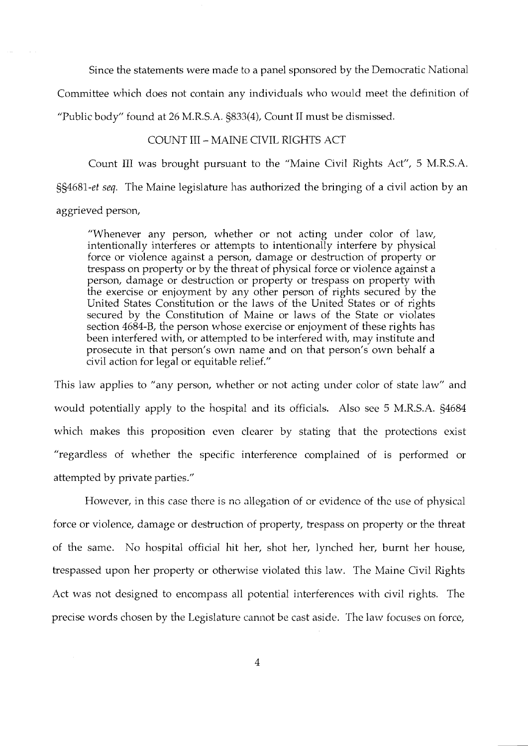Since the statements were made to a panel sponsored by the Democratic National

Committee which does not contain any individuals who would meet the definition of

"Public body" found at 26 M.R.S.A. §833(4), Count I1 must be dismissed.

# COUNT III - MAINE CIVIL RIGHTS ACT

Count III was brought pursuant to the "Maine Civil Rights Act", 5 M.R.S.A.

§§4681-et seq. The Maine legislature has authorized the bringing of a civil action by an aggrieved person,

"Whenever any person, whether or not acting under color of law, intentionally interferes or attempts to intentionally interfere by physical force or violence against a person, damage or destruction of property or trespass on property or by the threat of physical force or violence against a person, damage or destruction or property or trespass on property with the exercise or enjoyment by any other person of rights secured by the United States Constitution or the laws of the United States or of rights secured by the Constitution of Maine or laws of the State or violates section 4684-B, the person whose exercise or enjoyment of these rights has been interfered with, or attempted to be interfered with, may institute and prosecute in that person's own name and on that person's own behalf a civil action for legal or equitable relief."

This law applies to "any person, whether or not acting under color of state law" and would potentially apply to the hospital and its officials. Also see 5 M.R.S.A. §4684 which makes this proposition even clearer by stating that the protections exist "regardless of whether the specific interference complained of is performed or attempted by private parties."

Howcver, in this case there is no allegation of or evidence of the use of physical force or violence, damage or destruction of property, trespass on property or the threat of the same. No hospital official lut her, shot her, lynched her, burnt her house, trespassed upon her property or otherwise violated this law. The Maine Civil Rights Act was not designed to encompass all potential interferences with civil rights. The precise words chosen by the Legislature cannot be cast aside. The law focuses on force,